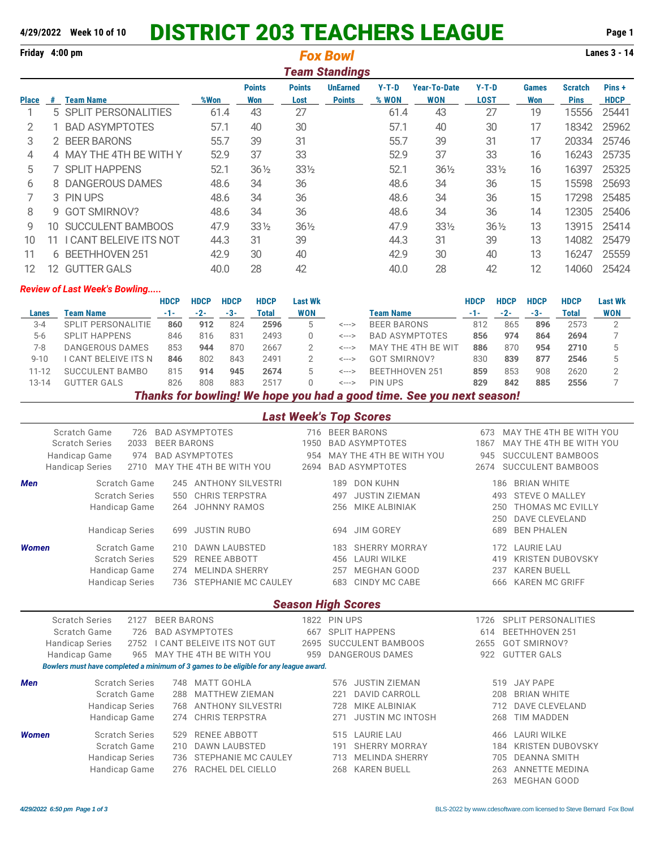## **4/29/2022 Week 10 of 10** DISTRICT 203 TEACHERS LEAGUE **Page 1**

| Friday 4:00 pm |     |                          |      |                 | Lanes 3 - 14    |                                          |         |                     |                 |              |                |             |
|----------------|-----|--------------------------|------|-----------------|-----------------|------------------------------------------|---------|---------------------|-----------------|--------------|----------------|-------------|
|                |     |                          |      | <b>Points</b>   | <b>Points</b>   | <b>Team Standings</b><br><b>UnEarned</b> | $Y-T-D$ | <b>Year-To-Date</b> | $Y-T-D$         | <b>Games</b> | <b>Scratch</b> | Pins+       |
| Place          | #   | <b>Team Name</b>         | %Won | Won             | Lost            | <b>Points</b>                            | % WON   | <b>WON</b>          | <b>LOST</b>     | Won          | <b>Pins</b>    | <b>HDCP</b> |
|                |     | 5 SPLIT PERSONALITIES    | 61.4 | 43              | 27              |                                          | 61.4    | 43                  | 27              | 19           | 15556          | 25441       |
| 2              |     | <b>BAD ASYMPTOTES</b>    | 57.1 | 40              | 30              |                                          | 57.1    | 40                  | 30              | 17           | 18342          | 25962       |
| 3              |     | 2 BEER BARONS            | 55.7 | 39              | 31              |                                          | 55.7    | 39                  | 31              | 17           | 20334          | 25746       |
| 4              |     | 4 MAY THE 4TH BE WITH Y  | 52.9 | 37              | 33              |                                          | 52.9    | 37                  | 33              | 16           | 16243          | 25735       |
| 5.             |     | 7 SPLIT HAPPENS          | 52.1 | $36\frac{1}{2}$ | 331/2           |                                          | 52.1    | $36\frac{1}{2}$     | $33\frac{1}{2}$ | 16           | 16397          | 25325       |
| 6              |     | 8 DANGEROUS DAMES        | 48.6 | 34              | 36              |                                          | 48.6    | 34                  | 36              | 15           | 15598          | 25693       |
|                |     | 3 PIN UPS                | 48.6 | 34              | 36              |                                          | 48.6    | 34                  | 36              | 15           | 17298          | 25485       |
| 8              | g   | <b>GOT SMIRNOV?</b>      | 48.6 | 34              | 36              |                                          | 48.6    | 34                  | 36              | 14           | 12305          | 25406       |
| 9              | 10  | <b>SUCCULENT BAMBOOS</b> | 47.9 | $33\frac{1}{2}$ | $36\frac{1}{2}$ |                                          | 47.9    | $33\frac{1}{2}$     | $36\frac{1}{2}$ | 13           | 13915          | 25414       |
| 10             |     | CANT BELEIVE ITS NOT     | 44.3 | 31              | 39              |                                          | 44.3    | 31                  | 39              | 13           | 14082          | 25479       |
| 11             | 6   | <b>BEETHHOVEN 251</b>    | 42.9 | 30              | 40              |                                          | 42.9    | 30                  | 40              | 13           | 16247          | 25559       |
| 12             | 12. | <b>GUTTER GALS</b>       | 40.0 | 28              | 42              |                                          | 40.0    | 28                  | 42              | 12           | 14060          | 25424       |

## *Review of Last Week's Bowling.....*

|          |                           | <b>HDCP</b> | <b>HDCP</b> | <b>HDCP</b> | <b>HDCP</b> | Last Wk    |       |                       | HDCP | HDCP  | HDCP | <b>HDCP</b> | <b>Last Wk</b> |
|----------|---------------------------|-------------|-------------|-------------|-------------|------------|-------|-----------------------|------|-------|------|-------------|----------------|
| Lanes    | Team Name                 | -1-         | $-2-$       | -3-         | Total       | <b>WON</b> |       | <b>Team Name</b>      |      | $-2-$ | -3-  | Total       | <b>WON</b>     |
| $3 - 4$  | <b>SPLIT PERSONALITIE</b> | 860         | 912         | 824         | 2596        | 5.         | <---> | <b>BEER BARONS</b>    | 812  | 865   | 896  | 2573        |                |
| $5-6$    | <b>SPLIT HAPPENS</b>      | 846         | 816         | 831         | 2493        |            | <---> | BAD ASYMPTOTES        | 856  | 974   | 864  | 2694        |                |
| 7-8      | DANGEROUS DAMES           | 853         | 944         | 870         | 2667        |            | <---> | MAY THE 4TH BE WIT    | 886  | 870   | 954  | 2710        |                |
| $9 - 10$ | CANT BELEIVE ITS N        | 846         | 802         | 843         | 2491        |            | <---> | SMIRNOV?<br>GOT       | 830  | 839   | 877  | 2546        |                |
| 11-12    | SUCCULENT BAMBO           | 815         | 914         | 945         | 2674        | ∽          | <---> | <b>BEETHHOVEN 251</b> | 859  | 853   | 908  | 2620        |                |
| 13-14    | GUTTER GALS               | 826         | 808         | 883         | 2517        |            | <---> | PIN UPS               | 829  | 842   | 885  | 2556        |                |
|          |                           |             |             |             |             |            |       |                       |      |       |      |             |                |

*Thanks for bowling! We hope you had a good time. See you next season!*

## *Last Week's Top Scores*

|              | Scratch Game           | 726                   |                    | <b>BAD ASYMPTOTES</b>                                                                 |      |                           | 716 BEER BARONS          | 673  | MAY THE 4TH BE WITH YOU        |  |  |  |  |
|--------------|------------------------|-----------------------|--------------------|---------------------------------------------------------------------------------------|------|---------------------------|--------------------------|------|--------------------------------|--|--|--|--|
|              | <b>Scratch Series</b>  | 2033                  | <b>BEER BARONS</b> |                                                                                       | 1950 |                           | <b>BAD ASYMPTOTES</b>    | 1867 | MAY THE 4TH BE WITH YOU        |  |  |  |  |
|              | Handicap Game          | 974                   |                    | <b>BAD ASYMPTOTES</b>                                                                 | 954  |                           | MAY THE 4TH BE WITH YOU  | 945  | <b>SUCCULENT BAMBOOS</b>       |  |  |  |  |
|              | <b>Handicap Series</b> | 2710                  |                    | MAY THE 4TH BE WITH YOU                                                               | 2694 |                           | <b>BAD ASYMPTOTES</b>    | 2674 | <b>SUCCULENT BAMBOOS</b>       |  |  |  |  |
| <b>Men</b>   |                        | Scratch Game          | 245                | <b>ANTHONY SILVESTRI</b>                                                              |      | 189                       | <b>DON KUHN</b>          |      | <b>BRIAN WHITE</b><br>186      |  |  |  |  |
|              |                        | <b>Scratch Series</b> | 550                | <b>CHRIS TERPSTRA</b>                                                                 |      | 497                       | <b>JUSTIN ZIEMAN</b>     |      | <b>STEVE O MALLEY</b><br>493   |  |  |  |  |
|              | Handicap Game          |                       | 264                | <b>JOHNNY RAMOS</b>                                                                   |      | 256                       | MIKE ALBINIAK            |      | <b>THOMAS MC EVILLY</b><br>250 |  |  |  |  |
|              |                        |                       |                    |                                                                                       |      |                           |                          |      | <b>DAVE CLEVELAND</b><br>250   |  |  |  |  |
|              | <b>Handicap Series</b> |                       | 699                | <b>JUSTIN RUBO</b>                                                                    |      |                           | 694 JIM GOREY            |      | <b>BEN PHALEN</b><br>689       |  |  |  |  |
| <b>Women</b> |                        | Scratch Game          | 210                | <b>DAWN LAUBSTED</b>                                                                  |      | 183                       | <b>SHERRY MORRAY</b>     |      | 172 LAURIE LAU                 |  |  |  |  |
|              |                        | <b>Scratch Series</b> | 529                | <b>RENEE ABBOTT</b>                                                                   |      | 456                       | <b>LAURI WILKE</b>       |      | <b>KRISTEN DUBOVSKY</b><br>419 |  |  |  |  |
|              | Handicap Game          |                       | 274                | <b>MELINDA SHERRY</b>                                                                 |      | 257                       | <b>MEGHAN GOOD</b>       |      | <b>KAREN BUELL</b><br>237      |  |  |  |  |
|              | <b>Handicap Series</b> |                       | 736                | STEPHANIE MC CAULEY                                                                   |      | 683                       | <b>CINDY MC CABE</b>     |      | 666 KAREN MC GRIFF             |  |  |  |  |
|              |                        |                       |                    |                                                                                       |      | <b>Season High Scores</b> |                          |      |                                |  |  |  |  |
|              |                        |                       |                    |                                                                                       |      |                           |                          |      |                                |  |  |  |  |
|              | <b>Scratch Series</b>  | 2127                  | <b>BEER BARONS</b> |                                                                                       |      | 1822 PIN UPS              |                          | 1726 | <b>SPLIT PERSONALITIES</b>     |  |  |  |  |
|              | Scratch Game           | 726                   |                    | <b>BAD ASYMPTOTES</b>                                                                 | 667  |                           | <b>SPLIT HAPPENS</b>     | 614  | <b>BEETHHOVEN 251</b>          |  |  |  |  |
|              | <b>Handicap Series</b> | 2752                  |                    | I CANT BELEIVE ITS NOT GUT                                                            | 2695 |                           | <b>SUCCULENT BAMBOOS</b> | 2655 | <b>GOT SMIRNOV?</b>            |  |  |  |  |
|              | Handicap Game          | 965                   |                    | MAY THE 4TH BE WITH YOU                                                               | 959  |                           | <b>DANGEROUS DAMES</b>   | 922  | <b>GUTTER GALS</b>             |  |  |  |  |
|              |                        |                       |                    | Bowlers must have completed a minimum of 3 games to be eligible for any league award. |      |                           |                          |      |                                |  |  |  |  |
| <b>Men</b>   |                        | <b>Scratch Series</b> | 748                | <b>MATT GOHLA</b>                                                                     |      | 576                       | <b>JUSTIN ZIEMAN</b>     |      | <b>JAY PAPE</b><br>519         |  |  |  |  |
|              |                        | Scratch Game          | 288                | <b>MATTHEW ZIEMAN</b>                                                                 |      | 221                       | <b>DAVID CARROLL</b>     |      | <b>BRIAN WHITE</b><br>208      |  |  |  |  |
|              | <b>Handicap Series</b> |                       | 768                | <b>ANTHONY SILVESTRI</b>                                                              |      | 728                       | MIKE ALBINIAK            |      | <b>DAVE CLEVELAND</b><br>712   |  |  |  |  |
|              | Handicap Game          |                       | 274                | <b>CHRIS TERPSTRA</b>                                                                 |      | 271                       | <b>JUSTIN MC INTOSH</b>  |      | <b>TIM MADDEN</b><br>268       |  |  |  |  |
| <b>Women</b> |                        | <b>Scratch Series</b> | 529                | <b>RENEE ABBOTT</b>                                                                   |      | 515                       | <b>LAURIE LAU</b>        |      | <b>LAURI WILKE</b><br>466      |  |  |  |  |
|              |                        | Scratch Game          | 210                | <b>DAWN LAUBSTED</b>                                                                  |      | 191                       | <b>SHERRY MORRAY</b>     |      | 184 KRISTEN DUBOVSKY           |  |  |  |  |
|              | <b>Handicap Series</b> |                       | 736                | STEPHANIE MC CAULEY                                                                   |      | 713                       | <b>MELINDA SHERRY</b>    |      | <b>DEANNA SMITH</b><br>705     |  |  |  |  |
|              | Handicap Game          |                       | 276                | RACHEL DEL CIELLO                                                                     |      | 268                       | <b>KAREN BUELL</b>       |      | <b>ANNETTE MEDINA</b><br>263   |  |  |  |  |
|              |                        |                       |                    |                                                                                       |      |                           |                          |      | 263 MEGHAN GOOD                |  |  |  |  |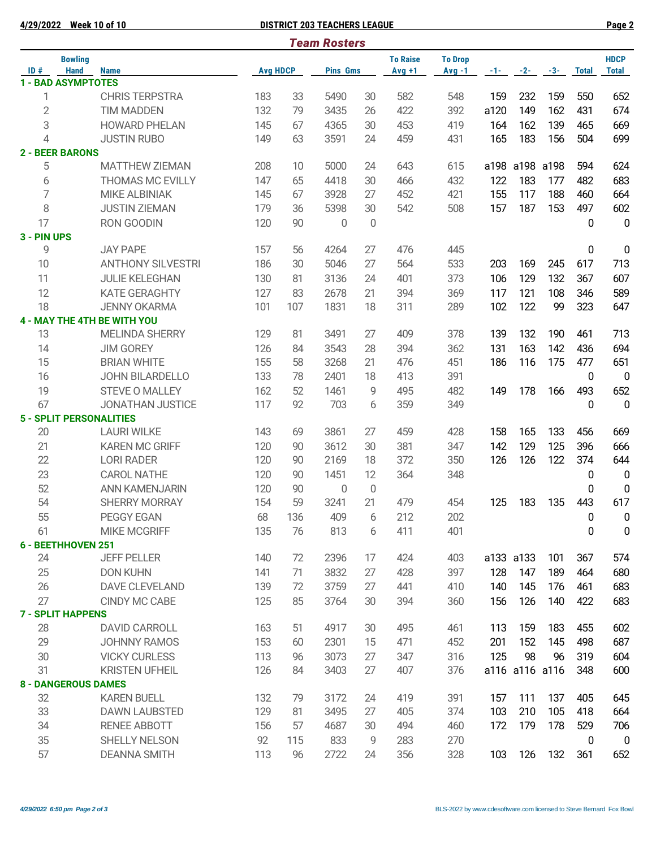**4/29/2022 Week 10 of 10 DISTRICT 203 TEACHERS LEAGUE Page 2**

|                | <b>Team Rosters</b>           |                                |                 |     |                 |    |                              |                            |       |                |       |              |                             |  |
|----------------|-------------------------------|--------------------------------|-----------------|-----|-----------------|----|------------------------------|----------------------------|-------|----------------|-------|--------------|-----------------------------|--|
| ID#            | <b>Bowling</b><br><b>Hand</b> | <b>Name</b>                    | <b>Avg HDCP</b> |     | <b>Pins Gms</b> |    | <b>To Raise</b><br>$Avq + 1$ | <b>To Drop</b><br>$Avg -1$ | $-1-$ | $-2-$          | $-3-$ | <b>Total</b> | <b>HDCP</b><br><b>Total</b> |  |
|                | <b>1 - BAD ASYMPTOTES</b>     |                                |                 |     |                 |    |                              |                            |       |                |       |              |                             |  |
| 1              |                               | <b>CHRIS TERPSTRA</b>          | 183             | 33  | 5490            | 30 | 582                          | 548                        | 159   | 232            | 159   | 550          | 652                         |  |
| $\overline{2}$ |                               | <b>TIM MADDEN</b>              | 132             | 79  | 3435            | 26 | 422                          | 392                        | a120  | 149            | 162   | 431          | 674                         |  |
| 3              |                               | <b>HOWARD PHELAN</b>           | 145             | 67  | 4365            | 30 | 453                          | 419                        | 164   | 162            | 139   | 465          | 669                         |  |
| 4              |                               | <b>JUSTIN RUBO</b>             | 149             | 63  | 3591            | 24 | 459                          | 431                        | 165   | 183            | 156   | 504          | 699                         |  |
|                | <b>2 - BEER BARONS</b>        |                                |                 |     |                 |    |                              |                            |       |                |       |              |                             |  |
| 5              |                               | <b>MATTHEW ZIEMAN</b>          | 208             | 10  | 5000            | 24 | 643                          | 615                        | a198  | a198           | a198  | 594          | 624                         |  |
| 6              |                               | <b>THOMAS MC EVILLY</b>        | 147             | 65  | 4418            | 30 | 466                          | 432                        | 122   | 183            | 177   | 482          | 683                         |  |
| 7              |                               | <b>MIKE ALBINIAK</b>           | 145             | 67  | 3928            | 27 | 452                          | 421                        | 155   | 117            | 188   | 460          | 664                         |  |
| 8              |                               | <b>JUSTIN ZIEMAN</b>           | 179             | 36  | 5398            | 30 | 542                          | 508                        | 157   | 187            | 153   | 497          | 602                         |  |
| 17             |                               | RON GOODIN                     | 120             | 90  | 0               | 0  |                              |                            |       |                |       | $\mathbf 0$  | $\mathbf 0$                 |  |
| 3 - PIN UPS    |                               |                                |                 |     |                 |    |                              |                            |       |                |       |              |                             |  |
| 9              |                               | <b>JAY PAPE</b>                | 157             | 56  | 4264            | 27 | 476                          | 445                        |       |                |       | 0            | $\pmb{0}$                   |  |
| 10             |                               | <b>ANTHONY SILVESTRI</b>       | 186             | 30  | 5046            | 27 | 564                          | 533                        | 203   | 169            | 245   | 617          | 713                         |  |
| 11             |                               | <b>JULIE KELEGHAN</b>          | 130             | 81  | 3136            | 24 | 401                          | 373                        | 106   | 129            | 132   | 367          | 607                         |  |
| 12             |                               | <b>KATE GERAGHTY</b>           | 127             | 83  | 2678            | 21 | 394                          | 369                        | 117   | 121            | 108   | 346          | 589                         |  |
| 18             |                               | <b>JENNY OKARMA</b>            | 101             | 107 | 1831            | 18 | 311                          | 289                        | 102   | 122            | 99    | 323          | 647                         |  |
|                |                               | 4 - MAY THE 4TH BE WITH YOU    |                 |     |                 |    |                              |                            |       |                |       |              |                             |  |
| 13             |                               | <b>MELINDA SHERRY</b>          | 129             | 81  | 3491            | 27 | 409                          | 378                        | 139   | 132            | 190   | 461          | 713                         |  |
| 14             |                               | <b>JIM GOREY</b>               | 126             | 84  | 3543            | 28 | 394                          | 362                        | 131   | 163            | 142   | 436          | 694                         |  |
| 15             |                               | <b>BRIAN WHITE</b>             | 155             | 58  | 3268            | 21 | 476                          | 451                        | 186   | 116            | 175   | 477          | 651                         |  |
| 16             |                               | <b>JOHN BILARDELLO</b>         | 133             | 78  | 2401            | 18 | 413                          | 391                        |       |                |       | 0            | $\overline{0}$              |  |
| 19             |                               | <b>STEVE O MALLEY</b>          | 162             | 52  | 1461            | 9  | 495                          | 482                        | 149   | 178            | 166   | 493          | 652                         |  |
| 67             |                               | <b>JONATHAN JUSTICE</b>        | 117             | 92  | 703             | 6  | 359                          | 349                        |       |                |       | 0            | $\mathbf 0$                 |  |
|                |                               | <b>5 - SPLIT PERSONALITIES</b> |                 |     |                 |    |                              |                            |       |                |       |              |                             |  |
| 20             |                               | <b>LAURI WILKE</b>             | 143             | 69  | 3861            | 27 | 459                          | 428                        | 158   | 165            | 133   | 456          | 669                         |  |
| 21             |                               | <b>KAREN MC GRIFF</b>          | 120             | 90  | 3612            | 30 | 381                          | 347                        | 142   | 129            | 125   | 396          | 666                         |  |
| 22             |                               | <b>LORI RADER</b>              | 120             | 90  | 2169            | 18 | 372                          | 350                        | 126   | 126            | 122   | 374          | 644                         |  |
| 23             |                               | <b>CAROL NATHE</b>             | 120             | 90  | 1451            | 12 | 364                          | 348                        |       |                |       | 0            | 0                           |  |
| 52             |                               | <b>ANN KAMENJARIN</b>          | 120             | 90  | 0               | 0  |                              |                            |       |                |       | 0            | $\boldsymbol{0}$            |  |
| 54             |                               | <b>SHERRY MORRAY</b>           | 154             | 59  | 3241            | 21 | 479                          | 454                        | 125   | 183            | 135   | 443          | 617                         |  |
| 55             |                               | PEGGY EGAN                     | 68              | 136 | 409             | 6  | 212                          | 202                        |       |                |       | $\bf{0}$     | $\pmb{0}$                   |  |
| 61             |                               | <b>MIKE MCGRIFF</b>            | 135             | 76  | 813             | 6  | 411                          | 401                        |       |                |       | 0            | $\pmb{0}$                   |  |
|                | 6 - BEETHHOVEN 251            |                                |                 |     |                 |    |                              |                            |       |                |       |              |                             |  |
| 24             |                               | <b>JEFF PELLER</b>             | 140             | 72  | 2396            | 17 | 424                          | 403                        |       | a133 a133      | 101   | 367          | 574                         |  |
| 25             |                               | <b>DON KUHN</b>                | 141             | 71  | 3832            | 27 | 428                          | 397                        | 128   | 147            | 189   | 464          | 680                         |  |
| 26             |                               | DAVE CLEVELAND                 | 139             | 72  | 3759            | 27 | 441                          | 410                        | 140   | 145            | 176   | 461          | 683                         |  |
| 27             |                               | CINDY MC CABE                  | 125             | 85  | 3764            | 30 | 394                          | 360                        | 156   | 126            | 140   | 422          | 683                         |  |
|                | <b>7 - SPLIT HAPPENS</b>      |                                |                 |     |                 |    |                              |                            |       |                |       |              |                             |  |
| 28             |                               | <b>DAVID CARROLL</b>           | 163             | 51  | 4917            | 30 | 495                          | 461                        | 113   | 159            | 183   | 455          | 602                         |  |
| 29             |                               | <b>JOHNNY RAMOS</b>            | 153             | 60  | 2301            | 15 | 471                          | 452                        | 201   | 152            | 145   | 498          | 687                         |  |
| 30             |                               | <b>VICKY CURLESS</b>           | 113             | 96  | 3073            | 27 | 347                          | 316                        | 125   | 98             | 96    | 319          | 604                         |  |
| 31             |                               | <b>KRISTEN UFHEIL</b>          | 126             | 84  | 3403            | 27 | 407                          | 376                        |       | a116 a116 a116 |       | 348          | 600                         |  |
|                | <b>8 - DANGEROUS DAMES</b>    |                                |                 |     |                 |    |                              |                            |       |                |       |              |                             |  |
| 32             |                               | <b>KAREN BUELL</b>             | 132             | 79  | 3172            | 24 | 419                          | 391                        | 157   | 111            | 137   | 405          | 645                         |  |
| 33             |                               | <b>DAWN LAUBSTED</b>           | 129             | 81  | 3495            | 27 | 405                          | 374                        | 103   | 210            | 105   | 418          | 664                         |  |
| 34             |                               | <b>RENEE ABBOTT</b>            | 156             | 57  | 4687            | 30 | 494                          | 460                        | 172   | 179            | 178   | 529          | 706                         |  |
| 35             |                               | <b>SHELLY NELSON</b>           | 92              | 115 | 833             | 9  | 283                          | 270                        |       |                |       | 0            | $\mathbf 0$                 |  |
| 57             |                               | <b>DEANNA SMITH</b>            | 113             | 96  | 2722            | 24 | 356                          | 328                        | 103   | 126            | 132   | 361          | 652                         |  |
|                |                               |                                |                 |     |                 |    |                              |                            |       |                |       |              |                             |  |